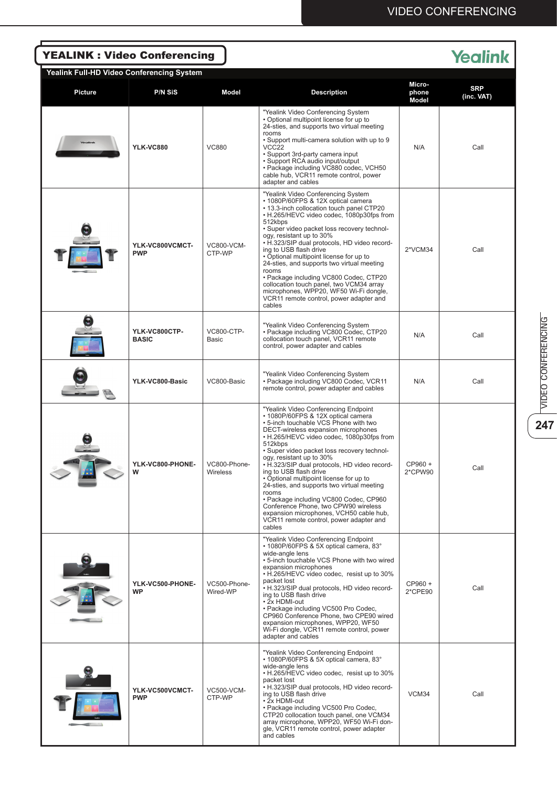| <b>YEALINK: Video Conferencing</b><br><b>Yealink</b> |                               |                                   |                                                                                                                                                                                                                                                                                                                                                                                                                                                                                                                                                                                                                                                             |                          |                          |  |  |  |  |  |
|------------------------------------------------------|-------------------------------|-----------------------------------|-------------------------------------------------------------------------------------------------------------------------------------------------------------------------------------------------------------------------------------------------------------------------------------------------------------------------------------------------------------------------------------------------------------------------------------------------------------------------------------------------------------------------------------------------------------------------------------------------------------------------------------------------------------|--------------------------|--------------------------|--|--|--|--|--|
| Yealink Full-HD Video Conferencing System            |                               |                                   |                                                                                                                                                                                                                                                                                                                                                                                                                                                                                                                                                                                                                                                             |                          |                          |  |  |  |  |  |
| <b>Picture</b>                                       | <b>P/N SiS</b>                | Model                             | <b>Description</b>                                                                                                                                                                                                                                                                                                                                                                                                                                                                                                                                                                                                                                          | Micro-<br>phone<br>Model | <b>SRP</b><br>(inc. VAT) |  |  |  |  |  |
|                                                      | <b>YLK-VC880</b>              | <b>VC880</b>                      | "Yealink Video Conferencing System<br>• Optional multipoint license for up to<br>24-sties, and supports two virtual meeting<br>rooms<br>• Support multi-camera solution with up to 9<br>VCC <sub>22</sub><br>• Support 3rd-party camera input<br>• Support RCA audio input/output<br>• Package including VC880 codec, VCH50<br>cable hub, VCR11 remote control, power<br>adapter and cables                                                                                                                                                                                                                                                                 | N/A                      | Call                     |  |  |  |  |  |
|                                                      | YLK-VC800VCMCT-<br><b>PWP</b> | VC800-VCM-<br>CTP-WP              | "Yealink Video Conferencing System<br>• 1080P/60FPS & 12X optical camera<br>. 13.3-inch collocation touch panel CTP20<br>• H.265/HEVC video codec, 1080p30fps from<br>512kbps<br>• Super video packet loss recovery technol-<br>ogy, resistant up to 30%<br>• H.323/SIP dual protocols, HD video record-<br>ing to USB flash drive<br>• Optional multipoint license for up to<br>24-sties, and supports two virtual meeting<br>rooms<br>• Package including VC800 Codec, CTP20<br>collocation touch panel, two VCM34 array<br>microphones, WPP20, WF50 Wi-Fi dongle,<br>VCR11 remote control, power adapter and<br>cables                                   | 2*VCM34                  | Call                     |  |  |  |  |  |
|                                                      | YLK-VC800CTP-<br><b>BASIC</b> | <b>VC800-CTP-</b><br><b>Basic</b> | "Yealink Video Conferencing System<br>• Package including VC800 Codec, CTP20<br>collocation touch panel, VCR11 remote<br>control, power adapter and cables                                                                                                                                                                                                                                                                                                                                                                                                                                                                                                  | N/A                      | Call                     |  |  |  |  |  |
|                                                      | YLK-VC800-Basic               | VC800-Basic                       | "Yealink Video Conferencing System<br>• Package including VC800 Codec, VCR11<br>remote control, power adapter and cables                                                                                                                                                                                                                                                                                                                                                                                                                                                                                                                                    | N/A                      | Call                     |  |  |  |  |  |
|                                                      | YLK-VC800-PHONE-<br>W         | VC800-Phone-<br>Wireless          | "Yealink Video Conferencing Endpoint<br>• 1080P/60FPS & 12X optical camera<br>. 5-inch touchable VCS Phone with two<br>DECT-wireless expansion microphones<br>• H.265/HEVC video codec, 1080p30fps from<br>512kbps<br>• Super video packet loss recovery technol-<br>ogy, resistant up to 30%<br>• H.323/SIP dual protocols, HD video record-<br>ing to USB flash drive<br>• Optional multipoint license for up to<br>24-sties, and supports two virtual meeting<br>rooms<br>• Package including VC800 Codec, CP960<br>Conference Phone, two CPW90 wireless<br>expansion microphones, VCH50 cable hub,<br>VCR11 remote control, power adapter and<br>cables | CP960 +<br>2*CPW90       | Call                     |  |  |  |  |  |
|                                                      | YLK-VC500-PHONE-<br><b>WP</b> | VC500-Phone-<br>Wired-WP          | "Yealink Video Conferencing Endpoint<br>• 1080P/60FPS & 5X optical camera, 83°<br>wide-angle lens<br>• 5-inch touchable VCS Phone with two wired<br>expansion microphones<br>• H.265/HEVC video codec, resist up to 30%<br>packet lost<br>• H.323/SIP dual protocols, HD video record-<br>ing to USB flash drive<br>• 2x HDMI-out<br>• Package including VC500 Pro Codec,<br>CP960 Conference Phone, two CPE90 wired<br>expansion microphones, WPP20, WF50<br>Wi-Fi dongle, VCR11 remote control, power<br>adapter and cables                                                                                                                               | CP960 +<br>2*CPE90       | Call                     |  |  |  |  |  |
|                                                      | YLK-VC500VCMCT-<br><b>PWP</b> | <b>VC500-VCM-</b><br>CTP-WP       | "Yealink Video Conferencing Endpoint<br>• 1080P/60FPS & 5X optical camera, 83°<br>wide-angle lens<br>• H.265/HEVC video codec, resist up to 30%<br>packet lost<br>• H.323/SIP dual protocols, HD video record-<br>ing to USB flash drive<br>• 2x HDMI-out<br>• Package including VC500 Pro Codec,<br>CTP20 collocation touch panel, one VCM34<br>array microphone, WPP20, WF50 Wi-Fi don-<br>gle, VCR11 remote control, power adapter<br>and cables                                                                                                                                                                                                         | VCM34                    | Call                     |  |  |  |  |  |

 $\overline{\mathbf{247}}$